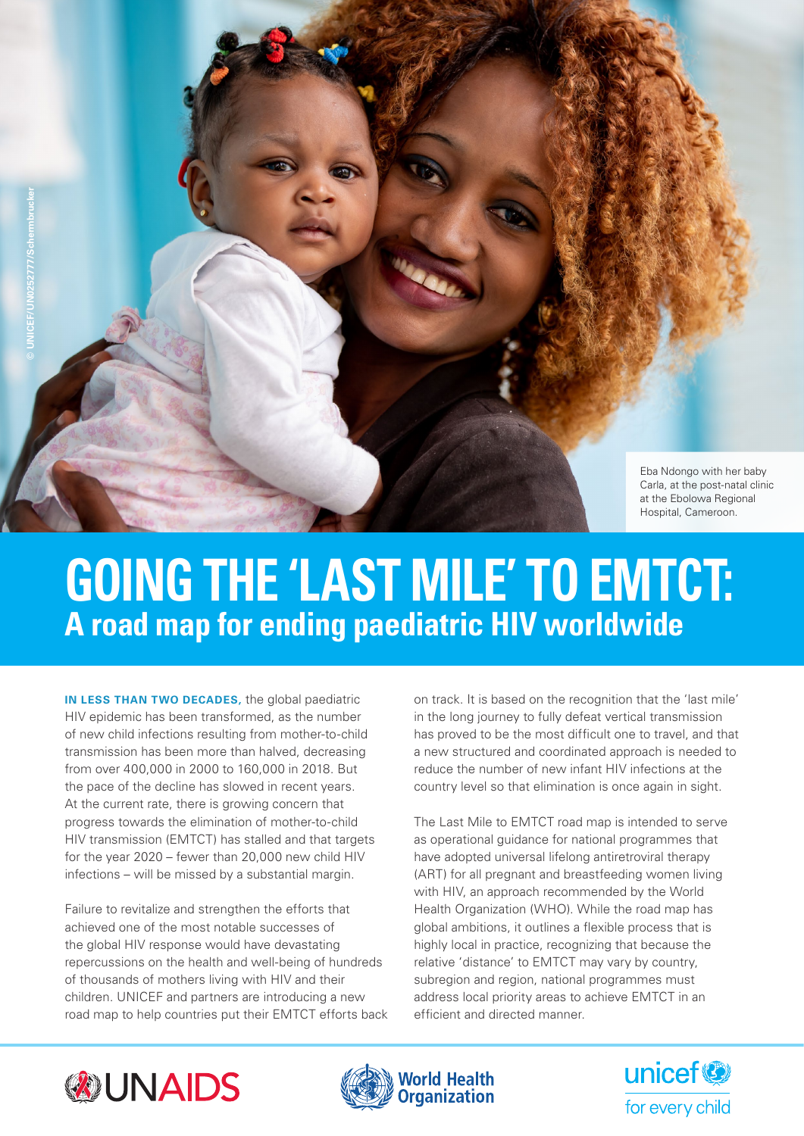

# **GOING THE 'LAST MILE' TO EMTCT: A road map for ending paediatric HIV worldwide**

**IN LESS THAN TWO DECADES,** the global paediatric HIV epidemic has been transformed, as the number of new child infections resulting from mother-to-child transmission has been more than halved, decreasing from over 400,000 in 2000 to 160,000 in 2018. But the pace of the decline has slowed in recent years. At the current rate, there is growing concern that progress towards the elimination of mother-to-child HIV transmission (EMTCT) has stalled and that targets for the year 2020 – fewer than 20,000 new child HIV infections – will be missed by a substantial margin.

Failure to revitalize and strengthen the efforts that achieved one of the most notable successes of the global HIV response would have devastating repercussions on the health and well-being of hundreds of thousands of mothers living with HIV and their children. UNICEF and partners are introducing a new road map to help countries put their EMTCT efforts back

on track. It is based on the recognition that the 'last mile' in the long journey to fully defeat vertical transmission has proved to be the most difficult one to travel, and that a new structured and coordinated approach is needed to reduce the number of new infant HIV infections at the country level so that elimination is once again in sight.

The Last Mile to EMTCT road map is intended to serve as operational guidance for national programmes that have adopted universal lifelong antiretroviral therapy (ART) for all pregnant and breastfeeding women living with HIV, an approach recommended by the World Health Organization (WHO). While the road map has global ambitions, it outlines a flexible process that is highly local in practice, recognizing that because the relative 'distance' to EMTCT may vary by country, subregion and region, national programmes must address local priority areas to achieve EMTCT in an efficient and directed manner.





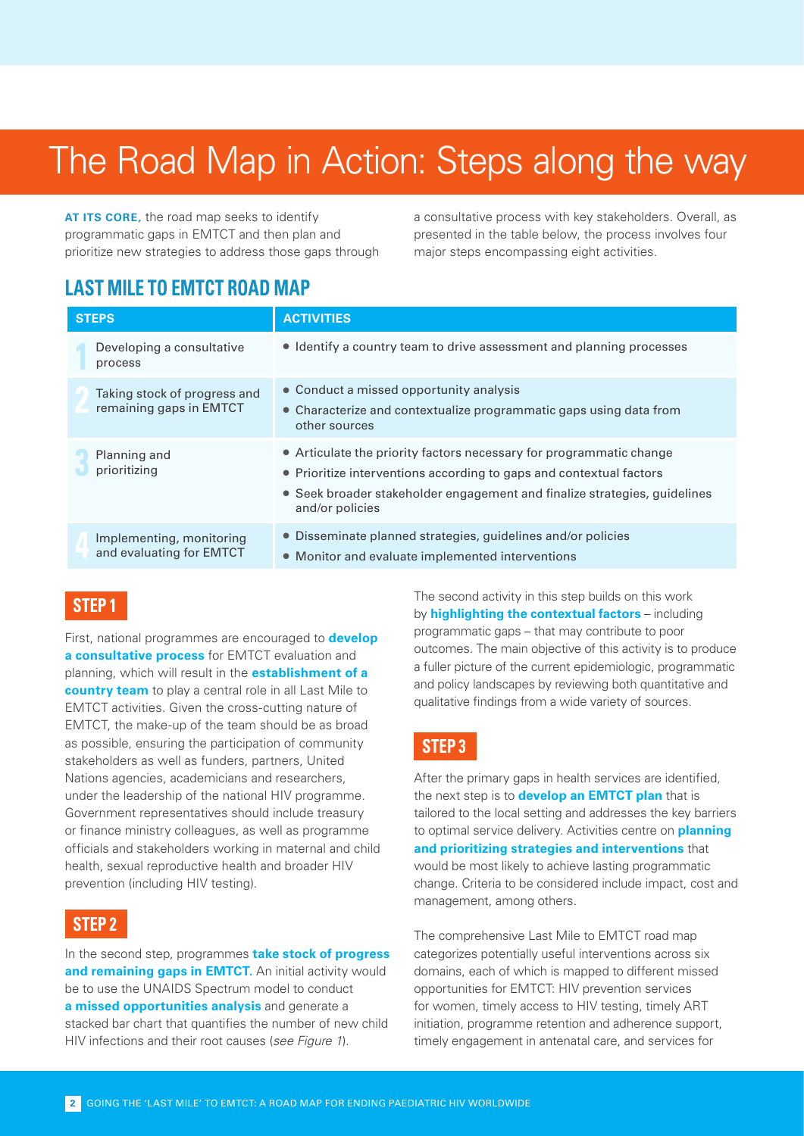## The Road Map in Action: Steps along the way

**AT ITS CORE,** the road map seeks to identify programmatic gaps in EMTCT and then plan and prioritize new strategies to address those gaps through a consultative process with key stakeholders. Overall, as presented in the table below, the process involves four major steps encompassing eight activities.

### **LAST MILE TO EMTCT ROAD MAP**

| <b>STEPS</b>                                            | <b>ACTIVITIES</b>                                                                                                                                                                                                                          |
|---------------------------------------------------------|--------------------------------------------------------------------------------------------------------------------------------------------------------------------------------------------------------------------------------------------|
| Developing a consultative<br>process                    | • Identify a country team to drive assessment and planning processes                                                                                                                                                                       |
| Taking stock of progress and<br>remaining gaps in EMTCT | • Conduct a missed opportunity analysis<br>• Characterize and contextualize programmatic gaps using data from<br>other sources                                                                                                             |
| Planning and<br>prioritizing                            | • Articulate the priority factors necessary for programmatic change<br>• Prioritize interventions according to gaps and contextual factors<br>• Seek broader stakeholder engagement and finalize strategies, guidelines<br>and/or policies |
| Implementing, monitoring<br>and evaluating for EMTCT    | • Disseminate planned strategies, guidelines and/or policies<br>• Monitor and evaluate implemented interventions                                                                                                                           |

#### **STEP 1**

First, national programmes are encouraged to **develop a consultative process** for EMTCT evaluation and planning, which will result in the **establishment of a country team** to play a central role in all Last Mile to EMTCT activities. Given the cross-cutting nature of EMTCT, the make-up of the team should be as broad as possible, ensuring the participation of community stakeholders as well as funders, partners, United Nations agencies, academicians and researchers, under the leadership of the national HIV programme. Government representatives should include treasury or finance ministry colleagues, as well as programme officials and stakeholders working in maternal and child health, sexual reproductive health and broader HIV prevention (including HIV testing).

#### **STEP 2**

In the second step, programmes **take stock of progress**  and remaining gaps in **EMTCT**. An initial activity would be to use the UNAIDS Spectrum model to conduct **a missed opportunities analysis** and generate a stacked bar chart that quantifies the number of new child HIV infections and their root causes (*see Figure 1*).

The second activity in this step builds on this work by **highlighting the contextual factors** – including programmatic gaps – that may contribute to poor outcomes. The main objective of this activity is to produce a fuller picture of the current epidemiologic, programmatic and policy landscapes by reviewing both quantitative and qualitative findings from a wide variety of sources.

#### **STEP 3**

After the primary gaps in health services are identified, the next step is to **develop an EMTCT plan** that is tailored to the local setting and addresses the key barriers to optimal service delivery. Activities centre on **planning and prioritizing strategies and interventions** that would be most likely to achieve lasting programmatic change. Criteria to be considered include impact, cost and management, among others.

The comprehensive Last Mile to EMTCT road map categorizes potentially useful interventions across six domains, each of which is mapped to different missed opportunities for EMTCT: HIV prevention services for women, timely access to HIV testing, timely ART initiation, programme retention and adherence support, timely engagement in antenatal care, and services for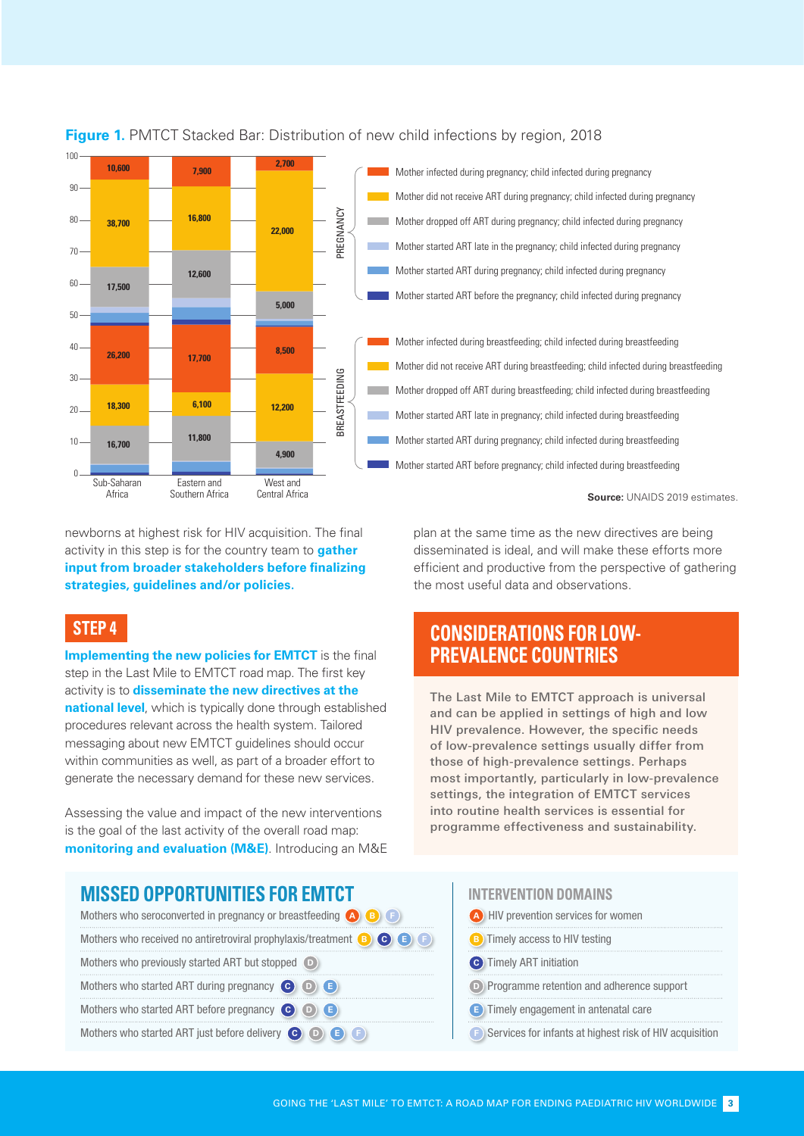

## $\begin{bmatrix} 1 & 0 \\ 0 & 1 \end{bmatrix}$ **Figure 1.** PMTCT Stacked Bar: Distribution of new child infections by region, 2018

newborns at highest risk for HIV acquisition. The final activity in this step is for the country team to **gather input from broader stakeholders before finalizing strategies, guidelines and/or policies.**

#### **STEP 4**

 $90 -$ 

80

70

60

50

30

 $20$ 

10

 $\theta$ 

**Implementing the new policies for EMTCT** is the final step in the Last Mile to EMTCT road map. The first key activity is to **disseminate the new directives at the national level**, which is typically done through established procedures relevant across the health system. Tailored messaging about new EMTCT guidelines should occur within communities as well, as part of a broader effort to generate the necessary demand for these new services.

Assessing the value and impact of the new interventions is the goal of the last activity of the overall road map: **monitoring and evaluation (M&E)**. Introducing an M&E plan at the same time as the new directives are being disseminated is ideal, and will make these efforts more efficient and productive from the perspective of gathering the most useful data and observations.

### **CONSIDERATIONS FOR LOW-PREVALENCE COUNTRIES**

The Last Mile to EMTCT approach is universal and can be applied in settings of high and low HIV prevalence. However, the specific needs of low-prevalence settings usually differ from those of high-prevalence settings. Perhaps most importantly, particularly in low-prevalence settings, the integration of EMTCT services into routine health services is essential for programme effectiveness and sustainability.

#### **MISSED OPPORTUNITIES FOR EMTCT**

| Mothers who seroconverted in pregnancy or breastfeeding $\bigcirc$ $\bigcirc$ $\bigcirc$ $\bigcirc$ |
|-----------------------------------------------------------------------------------------------------|
| Mothers who received no antiretroviral prophylaxis/treatment $\bullet$ $\bullet$ $\bullet$          |
| Mothers who previously started ART but stopped D                                                    |
| Mothers who started ART during pregnancy C O C                                                      |
| Mothers who started ART before pregnancy $\bigodot$ $\bigodot$ $\bigodot$                           |
| Mothers who started ART just before delivery C D B B F                                              |

#### **INTERVENTION DOMAINS**

- **<sup>A</sup>** HIV prevention services for women
- **B** Timely access to HIV testing
- **C** Timely ART initiation
- **D** Programme retention and adherence support
- **E** Timely engagement in antenatal care
- **F** Services for infants at highest risk of HIV acquisition